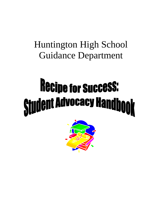## Huntington High School Guidance Department

# Recipe for Success: **Student Advocacy Handbook**

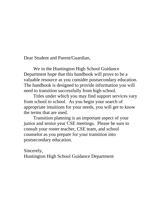Dear Student and Parent/Guardian,

We in the Huntington High School Guidance Department hope that this handbook will prove to be a valuable resource as you consider postsecondary education. The handbook is designed to provide information you will need to transition successfully from high school.

Titles under which you may find support services vary from school to school. As you begin your search of appropriate intuitions for your needs, you will get to know the terms that are used.

Transition planning is an important aspect of your junior and senior year CSE meetings. Please be sure to consult your roster teacher, CSE team, and school counselor as you prepare for your transition into postsecondary education.

Sincerely,

Huntington High School Guidance Department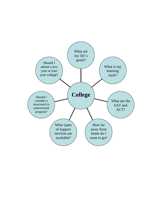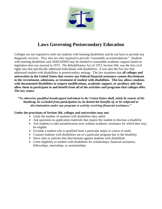

## **Laws Governing Postsecondary Education**

Colleges are not required to seek out students with learning disabilities and do not have to provide any diagnostic services. They also are only required to provide "reasonable accommodations." Students with learning disabilities and ADD/ADHD may be entitled to reasonable academic support based on legislation that was enacted in 1973. The Rehabilitation Act of 1973, Section 504, was the first civil rights law that specifically addressed individuals with disabilities. It was also the first law that addressed student with disabilities in postsecondary settings. The law mandates that **all colleges and universities in the United States that receive any federal financial assistance cannot discriminate in the recruitment, admission, or treatment of student with disabilities. This law allows students with documented disabilities to request modifications, academic support, or auxiliary aids that allow them to participate in and benefit from all of the activities and programs that colleges offer. The law states:**

#### *"No otherwise qualified handicapped individual in the United States shall, solely by reason of his handicap, be excluded from participation in, be denied the benefits of, or be subjected to discrimination under any program or activity receiving financial assistance."*

#### **Under the provisions of Section 504, colleges and universities may not:**

- $\triangleright$  Limit the number of students with disabilities they admit
- $\triangleright$  Ask questions on application materials that require the student to disclose a disability
- $\triangleright$  Ask students to take preadmissions tests without academic assistance for which they may be eligible
- $\triangleright$  Exclude a student who is qualified from a particular major or course of study
- $\triangleright$  Counsel students with disabilities out of a particular program due to the disability
- $\triangleright$  Have rules or policies that discriminate against students with disabilities
- $\triangleright$  Limit eligibility to student with disabilities for scholarships, financial assistance, fellowships, internships, or assistantships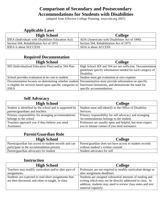## **Comparison of Secondary and Postsecondary Accommodations for Students with Disabilities**

(adapted from Effective College Planning, wnyccda.org 2007)

## **Applicable Laws**

| <b>High School</b>                                        | <b>College</b>                                |
|-----------------------------------------------------------|-----------------------------------------------|
| <b>IDEA</b> (Individuals with Disabilities Education Act) | ADA (Americans with Disabilities Act of 1990) |
| Section 504, Rehabilitation Act of 1973                   | Section 504, Rehabilitation Act of 1973       |
| <b>IDEA</b> is about SUCCESS                              | ADA is about ACCESS                           |

## **Required Documentation**

| <b>High School</b>                                                                                              | <b>College</b>                                             |
|-----------------------------------------------------------------------------------------------------------------|------------------------------------------------------------|
| IEP (Individualized Education Plan) and/or 504 Plan                                                             | High School IEP and 504 are not sufficient. Documentation  |
|                                                                                                                 | guidelines specify information needed for each category of |
|                                                                                                                 | Disability.                                                |
| School provides evaluation at no cost to student                                                                | Student must get evaluation at own expense                 |
| Documentation focuses on determining whether student Documentation must provide information on specific         |                                                            |
| is eligible for services based upon specific categories in functional limitations, and demonstrate the need for |                                                            |
| <b>IDEA</b>                                                                                                     | specific accommodations.                                   |

### **Self Advocacy**

| <b>High School</b>                                      | <b>College</b>                                           |
|---------------------------------------------------------|----------------------------------------------------------|
| Student is identified by the school and is supported by | Student must self-identify to the Office of Disability   |
| parents/guardians and teachers                          | Services.                                                |
| Primary responsibility for arranging accommodations     | Primary responsibility for self advocacy and arranging   |
| belongs to the school                                   | Accommodations belongs to the student                    |
| Teachers approach you if they believe you need          | Professors are usually open and helpful, but most expect |
| Assistance.                                             | you to initiate contact if you need assistance.          |

## **Parent/Guardian Role**

| <b>High School</b>                                    | <b>College</b>                                          |
|-------------------------------------------------------|---------------------------------------------------------|
| Parent/guardian has access to student records and can | Parent/guardian does not have access to student records |
| participate in the accommodation process              | without student's written consent                       |
| Parent/guardian advocates for student                 | Student advocates for self                              |

## **Instruction**

| <b>High School</b>                                                                                         | <b>College</b>                                                                                                                                                                     |  |
|------------------------------------------------------------------------------------------------------------|------------------------------------------------------------------------------------------------------------------------------------------------------------------------------------|--|
| Teachers may modify curriculum and/or alter pace of                                                        | Professors are not required to modify curriculum design or                                                                                                                         |  |
| assignments.                                                                                               | alter assignment deadlines.                                                                                                                                                        |  |
| Students are expected to read short assignments that<br>are then discussed, and often re-taught, in class. | Students are assigned substantial amounts of reading and<br>writing which may not be directly addressed in class. In<br>addition, students may need to review class notes and text |  |
|                                                                                                            | material regularly.                                                                                                                                                                |  |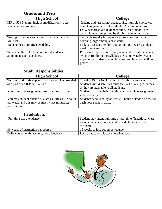## **Grades and Tests**

| <b>High School</b>                               | <b>College</b>                                              |
|--------------------------------------------------|-------------------------------------------------------------|
| IEP or 504 Plan my include modifications to test | Grading and test format changes (i.e. multiple choice vs.   |
| format and/or grading.                           | essay) are generally not available. Accommodations to       |
|                                                  | HOW test are given (extended time, test proctors) are       |
|                                                  | available when supported by disability documentation.       |
| Testing is frequent and covers small amounts of  | Testing is usually infrequent and may be cumulative,        |
| Material.                                        | covering large amounts of material.                         |
| Make up tests are often available.               | Make up tests are seldom and option; if they are, students  |
|                                                  | need to request them.                                       |
| Teachers often take time to remind students of   | Professors expect you to read, save, and consult the course |
| assignments and due dates.                       | syllabus (outline); the syllabus spells out exactly what is |
|                                                  | expected of students, when it is due, and how you will be   |
|                                                  | graded.                                                     |

## **Study Responsibilities**

| <b>High School</b>                                      | <b>College</b>                                                 |
|---------------------------------------------------------|----------------------------------------------------------------|
| Tutoring and study support may be a service provided    | Tutoring DOES NOT fall under Disability Services.              |
| as a part of an IEP or 504 Plan                         | Students with disabilities must seek out tutoring resources    |
|                                                         | as they are available to all students.                         |
| Your time and assignments are structured by others.     | Students manage their own time and complete assignments        |
|                                                         | independently.                                                 |
| You may student outside of class as little as 0-2 hours | Students need to study at least 2-3 hours outside of class for |
| per week, and this may be mostly last-minute test       | each hour spent in class.                                      |
| preparation.                                            |                                                                |

## **In addition:**

| Full time day attendance                   | Student may attend full time or part time. Traditional class-<br>room attendance, online, and hybrid classes are often<br>available. |
|--------------------------------------------|--------------------------------------------------------------------------------------------------------------------------------------|
| 36 weeks of instruction per course         | 16 weeks of instruction per course                                                                                                   |
| Daily contact with teachers, more feedback | Less contact with faculty, less feedback                                                                                             |

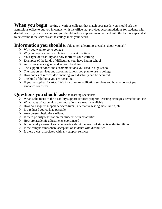When you begin looking at various colleges that match your needs, you should ask the admissions office to put you in contact with the office that provides accommodations for students with disabilities. If you visit a campus, you should make an appointment to meet with the learning specialist to determine if the services at the college meet your needs.

#### **Information you should** be able to tell a learning specialist about yourself:

- $\triangleright$  Why you want to go to college
- $\triangleright$  Why college is a realistic choice for you at this time
- $\triangleright$  Your type of disability and how it effects your learning
- $\triangleright$  Examples of the kinds of difficulties you have had in school
- $\triangleright$  Activities you are good and and/or like doing
- $\triangleright$  The support services and accommodations you used in high school
- $\triangleright$  The support services and accommodations you plan to use in college
- $\triangleright$  How copies of records documenting your disability can be acquired
- $\triangleright$  The kind of diploma you are receiving
- $\triangleright$  If you've applied for ACCES-VR or other rehabilitation services and how to contact your guidance counselor

#### **Questions you should ask** the learning specialist:

- $\triangleright$  What is the focus of the disability support services program-learning strategies, remediation, etc
- $\triangleright$  What types of academic accommodations are readily available
- $\triangleright$  How do I acquire support services-tutors, alternative testing, note takers, etc
- $\triangleright$  Is a reduced course load possible
- $\triangleright$  Are course substitutions offered
- $\triangleright$  Is there priority registration for students with disabilities
- $\triangleright$  How are academic adjustments coordinated
- $\triangleright$  Is the faculty aware of and cooperative about the needs of students with disabilities
- $\triangleright$  Is the campus atmosphere acceptant of students with disabilities
- $\triangleright$  Is there a cost associated with any support services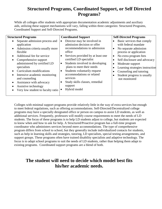## **Structured Programs, Coordinated Support, or Self Directed Programs?**

While all colleges offer students with appropriate documentation academic adjustments and auxiliary aids, utilizing these support mechanisms will vary, falling within three categories: Structured Programs, Coordinated Support and Self-Directed Programs.

| <b>Structured Programs</b>                                                                                                                                                                                                                                                                                                                                                                                                     | <b>Coordinated Support</b>                                                                                                                                                                                                                                                                                                                                                                   | <b>Self-Directed Programs</b>                                                                                                                                                                                                                                                                                                                                                                            |
|--------------------------------------------------------------------------------------------------------------------------------------------------------------------------------------------------------------------------------------------------------------------------------------------------------------------------------------------------------------------------------------------------------------------------------|----------------------------------------------------------------------------------------------------------------------------------------------------------------------------------------------------------------------------------------------------------------------------------------------------------------------------------------------------------------------------------------------|----------------------------------------------------------------------------------------------------------------------------------------------------------------------------------------------------------------------------------------------------------------------------------------------------------------------------------------------------------------------------------------------------------|
| Separate admission process and<br>application<br>Admission criteria usually more<br>$\bullet$<br>flexible<br>Additional fee for service<br>$\bullet$<br>Comprehensive support<br>administered by certified LD<br>specialists<br>Curriculum modifications<br>Intensive academic monitoring<br>$\bullet$<br>and counseling<br>Assistance with advocacy<br>$\bullet$<br>Assistive technology<br>Very low student to faculty ratio | Director may be involved in<br>admission decision or offer<br>recommendations to admission<br>office<br>Services provided by at least one<br>certified LD specialist<br>Students involved in developing<br>$\bullet$<br>plans to meet their needs<br>Students voluntarily request<br>٠<br>accommodations or related<br>services<br>Study skills classes, remedial<br>support<br>Hybrid model | Basic services that comply<br>$\bullet$<br>with federal mandate<br>No separate admission<br>$\bullet$<br>process or application<br>No extra program fees<br>$\bullet$<br>Self disclosure and advocacy<br>$\bullet$<br>Moderate support<br>$\bullet$<br>Learning strategies instruction<br>$\bullet$<br>Counseling and tutoring<br>$\bullet$<br>Student progress is usually<br>$\bullet$<br>not monitored |

Colleges with minimal support programs provide relatively little in the way of extra services but enough to meet federal regulations, such as offering accommodations. Self-Directed/Decentralized college programs may have a specially designated office or person on campus to assist LD students, as well as additional services. Frequently, professors will modify course requirements to meet the needs of LD students. The focus of these programs is to help LD students adjust to college, but students are expected to know when and how to ask for help. A Structured/Proactive program has a full-time program coordinator who administers services beyond mere accommodations. The type of comprehensive program differs from school to school, but they generally include individualized contacts for students, such as help in learning skills and strategies, tutoring, LD specialists, special testing arrangements, and support groups. These programs often have trained disability specialists and adaptive technology. The focus is to adapt school programs to suit the needs of LD students, rather than helping them adapt to existing programs. Coordinated support programs are a blend of both.

## **The student will need to decide which model best fits his/her academic needs.**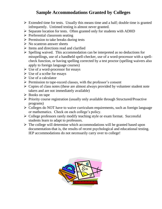## **Sample Accommodations Granted by Colleges**

- $\triangleright$  Extended time for tests. Usually this means time and a half; double time is granted infrequently. Untimed testing is almost never granted.
- $\triangleright$  Separate location for tests. Often granted only for students with ADHD
- $\triangleright$  Preferential classroom seating
- $\triangleright$  Permission to take breaks during tests
- $\triangleright$  No scantron answer sheets
- $\triangleright$  Items and directions read and clarified
- $\triangleright$  Spelling waived. This accommodation can be interpreted as no deductions for misspellings, use of a handheld spell-checker, use of a word-processor with a spellcheck function, or having spelling corrected by a test proctor (spelling waivers also apply to foreign language courses)
- $\triangleright$  Use of a word-processor for essays
- $\triangleright$  Use of a scribe for essays
- $\triangleright$  Use of a calculator
- $\triangleright$  Permission to tape-record classes, with the professor's consent
- $\triangleright$  Copies of class notes (these are almost always provided by volunteer student note takers and are not immediately available)
- $\triangleright$  Books on tape
- $\triangleright$  Priority course registration (usually only available through Structured/Proactive programs)
- $\triangleright$  Colleges do NOT have to waive curriculum requirements, such as foreign language or mathematics. Check on each college's policy.
- $\triangleright$  College professors rarely modify teaching style or exam format. Successful students learn to adapt to professors.
- $\triangleright$  The college will determine which accommodations will be granted based upon documentation-that is, the results of recent psychological and educational testing. IEP accommodations do not necessarily carry over to college!

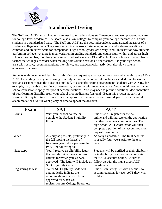

## **Standardized Testing**

The SAT and ACT standardized tests are used to tell admissions staff members how well prepared you are for college-level academics. The scores also allow colleges to compare your college readiness with other students in a standardized way. The SAT and ACT are the best independent, standardized measures of a student's college readiness. They are standardized across all students, schools, and states—providing a common and objective scale for comparison. High school grades are a very useful indicator of how students perform in college, yet there is great variation in grading standards and course rigor within and across high schools. Remember, too, that your standardized test scores (SAT and/or ACT) are only one of a number of factors that colleges consider when making admissions decisions. Other factors, like your high school transcript, essays, recommendations, interviews, and extracurricular activities, also play a role in admissions decisions.

Students with documented learning disabilities can request special accommodations when taking the SAT or ACT. Depending upon your learning disability, accommodations could include extended time to take the test, an assistant to read the questions out loud, or a specific seating arrangement (students with ADHD, for example, may be able to test in a private room, or a room with fewer students). You should meet with your school counselor to apply for special accommodations. You may need to provide additional documentation of your learning disability from your school or a medical professional. Begin this process as early as possible. It may take time to track down the appropriate documentation. And if you're denied special accommodations, you'll want plenty of time to appeal the decision.

| <b>Exam</b>         | <b>SAT</b>                             | $\bf{ACT}$                                     |
|---------------------|----------------------------------------|------------------------------------------------|
| Forms               | With your school counselor             | Students will register for the ACT             |
|                     | complete the Student Eligibility       | online and will indicate on the application    |
|                     | Form                                   | that they receive accommodations. The          |
|                     |                                        | high school ACT coordinator will then          |
|                     |                                        | complete a portion of the accommodation        |
|                     |                                        | request form online.                           |
| When                | As early as possible, preferably in    | As early as possible. The final deadline       |
|                     | the <b>fall</b> (spring the latest) of | is usually four weeks prior to the test        |
|                     | freshman year before you take the      | date.                                          |
|                     | PSAT the following fall.               |                                                |
| Next steps          | You'll receive an eligibility letter   | Students will be notified of their eligibility |
|                     | that will describe the accommo-        | or ineligibility for accommodations via        |
|                     | dations for which you've been          | their ACT account online. Be sure to           |
|                     | approved. The letter will include an   | follow up with the high school ACT             |
|                     | SSD Eligibility Code.                  | coordinator.                                   |
| Registering to test | Your SSD Eligibility Code will         | Students must register with a request for      |
|                     | automatically indicate the             | accommodations for each ACT they wish          |
|                     | accommodations you've been             | to take                                        |
|                     | approved for when you                  |                                                |
|                     | register for any College Board test.   |                                                |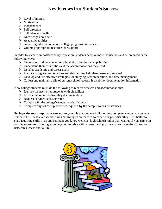## **Key Factors in a Student's Success**

- $\triangleright$  Level of interest
- $\triangleright$  Motivation
- $\triangleright$  Independence
- $\triangleright$  Self direction
- $\triangleright$  Self advocacy skills
- $\triangleright$  Knowledge about self
- $\triangleright$  Academic abilities
- $\triangleright$  Acquiring information about college programs and services
- $\triangleright$  Utilizing appropriate resources for support

In order to succeed in postsecondary education, students need to know themselves and be prepared in the following ways:

- $\triangleright$  Understand and be able to describe their strengths and capabilities
- $\triangleright$  Understand their disabilities and the accommodations they need
- $\triangleright$  Develop academic and career goals
- $\triangleright$  Practice using accommodations and devices that help them learn and succeed
- $\triangleright$  Develop and use effective strategies for studying, test preparation, and time management
- $\triangleright$  Collect and maintain a file of current school records & disability documentation information

New college students must do the following to receive services and accommodations:

- $\triangleright$  Identify themselves as students with disabilities
- $\triangleright$  Provide the required disability documentation
- $\triangleright$  Request services each semester
- $\triangleright$  Comply with the college's student code of conduct
- $\triangleright$  Complete any follow-up activities required by the campus to ensure services

**Perhaps the most important concept to grasp** is that you need all the same competencies as any college student **PLUS** whatever special skills or strategies are needed to cope with your disability. It is better to start acquiring skills in an environment you know well (i.e. high school) rather than wait until you arrive on a college campus. Coming to college comfortable with yourself and your needs can make the difference between success and failure.

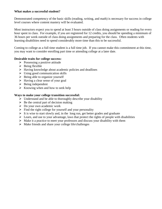#### **What makes a successful student?**

Demonstrated competency of the basic skills (reading, writing, and math) is necessary for success in college level courses where content mastery will be evaluated.

Most instructors expect you to spend at least 3 hours outside of class doing assignments or reading for every hour spent in class. For example, if you are registered for 12 credits, you should be spending a minimum of 36 hours per week outside of class doing assignments and preparing for the class. Often students with learning disabilities need to spend considerably more time than this to be successful.

Coming to college as a full time student is a full time job. If you cannot make this commitment at this time, you may want to consider enrolling part time or attending college at a later date.

#### **Desirable traits for college success:**

- $\triangleright$  Possessing a positive attitude
- $\triangleright$  Being flexible
- $\triangleright$  Having knowledge about academic policies and deadlines
- $\triangleright$  Using good communication skills
- $\triangleright$  Being able to organize yourself
- $\triangleright$  Having a clear sense of your goal
- $\triangleright$  Being independent
- $\triangleright$  Knowing when and how to seek help

#### **Ways to make your college transition successful:**

- $\triangleright$  Understand and be able to thoroughly describe your disability
- $\triangleright$  Be the central part of decision making
- $\triangleright$  Do your own academic work
- $\triangleright$  Find the right college for yourself and your personality
- $\triangleright$  It is wise to start slowly and, in the long run, get better grades and graduate
- $\triangleright$  Learn, and use to your advantage, laws that protect the rights of people with disabilities
- $\triangleright$  Make it a practice to meet your professors and discuss your disability with them
- $\triangleright$  Make friends and share your college life/challenges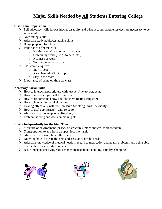## **Major Skills Needed by All Students Entering College**

#### **Classroom Preparation**

- $\triangleright$  Self advocacy skills-knows his/her disability and what accommodative services are necessary to be successful
- $\triangleright$  Note taking skills
- $\triangleright$  Adequate study habits/test taking skills
- $\triangleright$  Being prepared for class
- $\triangleright$  Importance of homework
	- o Writing name/date correctly on paper
	- o Organizing work (use of folders, etc.)
	- o Neatness of work
	- o Turning in work on time
- $\triangleright$  Classroom etiquette
	- $\circ$  Stay in seat
	- o Raise hand/don't interrupt
	- o Stay in the room
- $\triangleright$  Importance of being on time for class

#### **Necessary Social Skills**

- $\triangleright$  How to interact appropriately with teachers/mentors/students
- $\triangleright$  How to introduce yourself to someone
- $\triangleright$  How to let someone know you like them (dating etiquette)
- $\triangleright$  How to interact in social situations
- $\triangleright$  Dealing effectively with peer pressure (drinking, drugs, sexuality)
- $\triangleright$  How to deal appropriately with rejection
- $\triangleright$  Ability to use the telephone effectively
- $\triangleright$  Problem-solving and decision making skills

#### **Living Independently for the First Time**

- $\triangleright$  Structure of environment (or lack of structure)- more choices, more freedom
- $\triangleright$  Transportation to and from campus, job, internship
- $\triangleright$  Ability to use leisure time effectively
- $\triangleright$  Knowing how to locate the help and assistance he/she needs
- $\triangleright$  Adequate knowledge of medical needs in regard to medication and health problems and being able to articulate these needs to others
- $\triangleright$  Basic independent living skills-money management, cooking, laundry, shopping





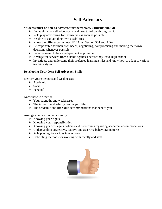## **Self Advocacy**

#### **Students must be able to advocate for themselves. Students should:**

- $\triangleright$  Be taught what self advocacy is and how to follow through on it
- $\triangleright$  Role play advocating for themselves as soon as possible
- $\triangleright$  Be able to explain their own disabilities
- $\triangleright$  Know the differences in laws: IDEA vs. Section 504 and ADA
- $\triangleright$  Be responsible for their own needs, negotiating, compromising and making their own decisions whenever possible
- $\triangleright$  Be encouraged to be as independent as possible
- $\triangleright$  Arrange for services from outside agencies before they leave high school
- $\triangleright$  Investigate and understand their preferred learning styles and know how to adapt to various teaching styles

#### **Developing Your Own Self Advocacy Skills**

Identify your strengths and weaknesses:

- $\triangleright$  Academic
- $\triangleright$  Social
- $\triangleright$  Personal

Know how to describe:

- $\triangleright$  Your strengths and weaknesses
- $\triangleright$  The impact the disability has on your life
- $\triangleright$  The academic and life skills accommodations that benefit you

Arrange your accommodations by:

- $\triangleright$  Knowing your rights
- $\triangleright$  Knowing your responsibilities
- $\triangleright$  Knowing your college's policies and procedures regarding academic accommodations
- $\triangleright$  Understanding aggressive, passive and assertive behavioral patterns
- $\triangleright$  Role playing for various interactions
- $\triangleright$  Debriefing methods for working with faculty and staff

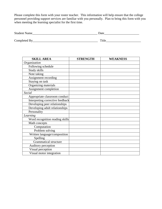Please complete this form with your roster teacher. This information will help ensure that the college personnel providing support services are familiar with you personally. Plan to bring this form with you when meeting the learning specialist for the first time.

| Student<br>Naille | 30.47<br>u.<br>- |
|-------------------|------------------|
|                   |                  |

| $\sim$<br>$\sim$ $    -$<br>-<br>___ | -<br><b>ALLA</b> |
|--------------------------------------|------------------|
|                                      |                  |

| <b>SKILL AREA</b>                | <b>STRENGTH</b> | <b>WEAKNESS</b> |
|----------------------------------|-----------------|-----------------|
| Organization                     |                 |                 |
| Following schedule               |                 |                 |
| Study skills                     |                 |                 |
| Note taking                      |                 |                 |
| Assignment recording             |                 |                 |
| Staying on task                  |                 |                 |
| Organizing materials             |                 |                 |
| Assignment completion            |                 |                 |
| Social                           |                 |                 |
| Appropriate classroom conduct    |                 |                 |
| Interpreting corrective feedback |                 |                 |
| Developing peer relationships    |                 |                 |
| Developing adult relationships   |                 |                 |
| Personality                      |                 |                 |
| Learning                         |                 |                 |
| Word recognition reading skills  |                 |                 |
| Math concepts                    |                 |                 |
| Computation                      |                 |                 |
| Problem solving                  |                 |                 |
| Written language/composition     |                 |                 |
| Spelling                         |                 |                 |
| <b>Grammatical structure</b>     |                 |                 |
| Auditory perception              |                 |                 |
| Visual perception                |                 |                 |
| Visual motor integration         |                 |                 |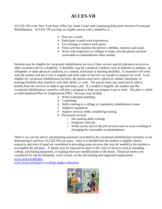## **ACCES-VR**

ACCES-VR is the New York State Office for Adult Career and Continuing Education Services-Vocational Rehabilitation ACCES-VR can help an eligible person with a disability to....

- $\triangleright$  Plan for a career
- $\triangleright$  Participate in paid work experiences
- $\triangleright$  Get training to achieve work goals
- $\triangleright$  Find a job that matches the person's abilities, interests and needs
- $\triangleright$  Work with employers or colleges to make sure the person receives reasonable accommodations when needed

Students may be eligible for vocational rehabilitation services if they receive special education services or other assistance due to a disability. A disability may be a medical condition such as diabetes or epilepsy, an orthopedic or other physical condition, or a mental, emotional or learning disability. A counselor will work with the student and see if s/he is eligible and what types of services are needed to prepare for work. To be eligible for vocational rehabilitation services, the person must have a physical, mental, emotional, or learning disability that interferes with their ability to work. The person must also need and be able to benefit from the services in order to get and keep a job. If a student is eligible, the student and the vocational rehabilitation counselor will plan a program to help you prepare to go to work. The plan is called an Individualized Plan for Employment (IPE). Services may include…

- $\triangleright$  Work evaluation planning
- $\triangleright$  Counseling
- $\triangleright$  Skills training at a college or community rehabilitation center
- $\triangleright$  Adaptive equipment
- $\triangleright$  Support services while completing training
- $\triangleright$  Placement services
	- o Job-seeking skills training
	- o Employer referrals
	- o Work tryouts and on the job services such as work coaching or arranging for reasonable accommodations

There is no cost for advice and planning assistance provided by the vocational rehabilitation counselor or for determining if and how ACCES-VR can assist. Once it is decided that the student is eligible, family resources and level of need are considered in providing some services that may be needed by the student to accomplish the job goal. A family may be expected to share in the costs of services such as attending college, purchasing equipment, or making necessary modifications to the home. Financial need is not considered for job development, work tryouts, on the job training and supported employment. [www.acces.nysed.gov](http://www.acces.nysed.gov/)

[www.acces.nysed.gov/vr/college-higher-education](http://www.acces.nysed.gov/vr/college-higher-education)